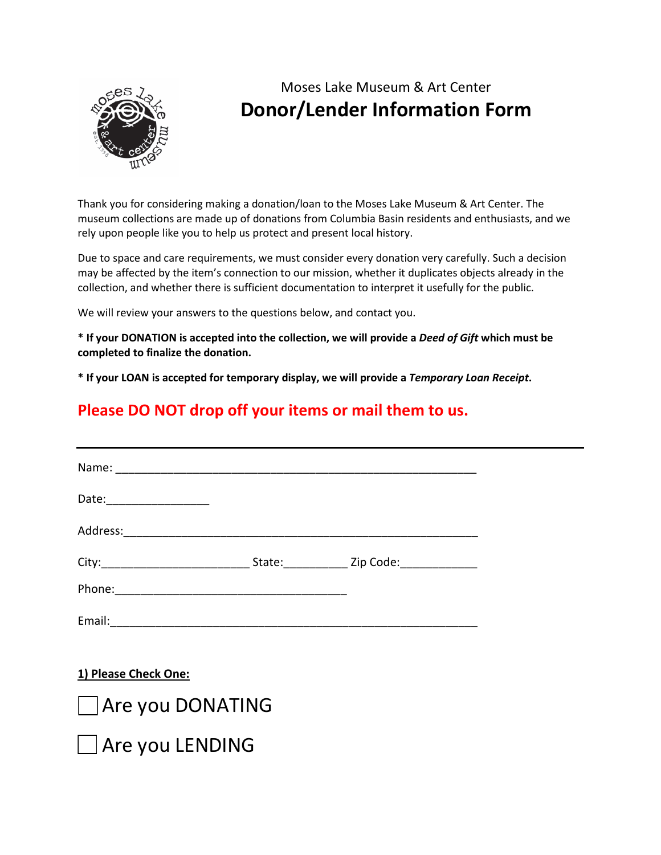

## Moses Lake Museum & Art Center **Donor/Lender Information Form**

Thank you for considering making a donation/loan to the Moses Lake Museum & Art Center. The museum collections are made up of donations from Columbia Basin residents and enthusiasts, and we rely upon people like you to help us protect and present local history.

Due to space and care requirements, we must consider every donation very carefully. Such a decision may be affected by the item's connection to our mission, whether it duplicates objects already in the collection, and whether there is sufficient documentation to interpret it usefully for the public.

We will review your answers to the questions below, and contact you.

**\* If your DONATION is accepted into the collection, we will provide a** *Deed of Gift* **which must be completed to finalize the donation.** 

**\* If your LOAN is accepted for temporary display, we will provide a** *Temporary Loan Receipt***.**

## **Please DO NOT drop off your items or mail them to us.**

| Name:    |                                            |  |
|----------|--------------------------------------------|--|
| Date:    |                                            |  |
| Address: |                                            |  |
|          | State: ___________ Zip Code: _____________ |  |
| Phone:   |                                            |  |
| Email:   |                                            |  |

**1) Please Check One:**



□ Are you LENDING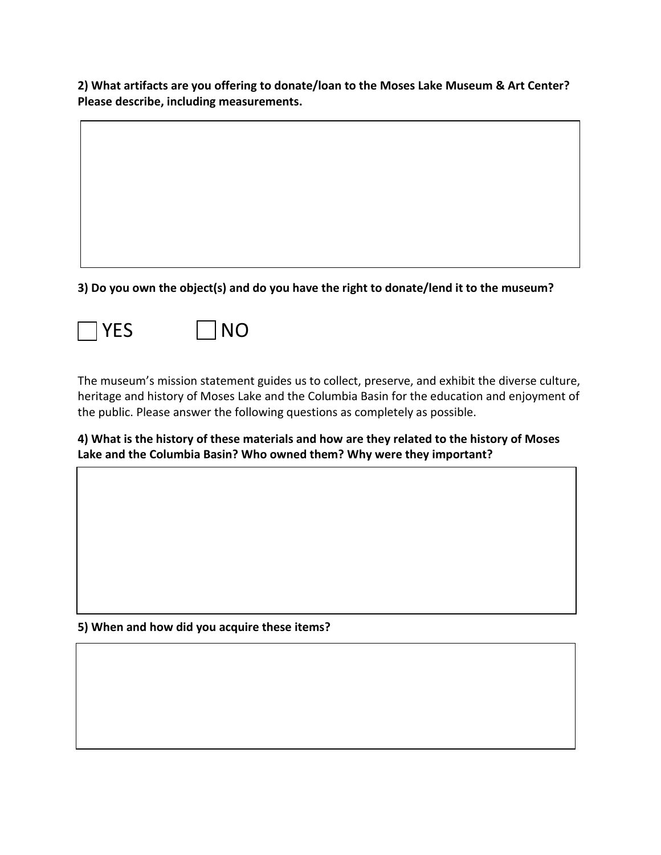**2) What artifacts are you offering to donate/loan to the Moses Lake Museum & Art Center? Please describe, including measurements.**

**3) Do you own the object(s) and do you have the right to donate/lend it to the museum?**





The museum's mission statement guides us to collect, preserve, and exhibit the diverse culture, heritage and history of Moses Lake and the Columbia Basin for the education and enjoyment of the public. Please answer the following questions as completely as possible.

**4) What is the history of these materials and how are they related to the history of Moses Lake and the Columbia Basin? Who owned them? Why were they important?**

**5) When and how did you acquire these items?**